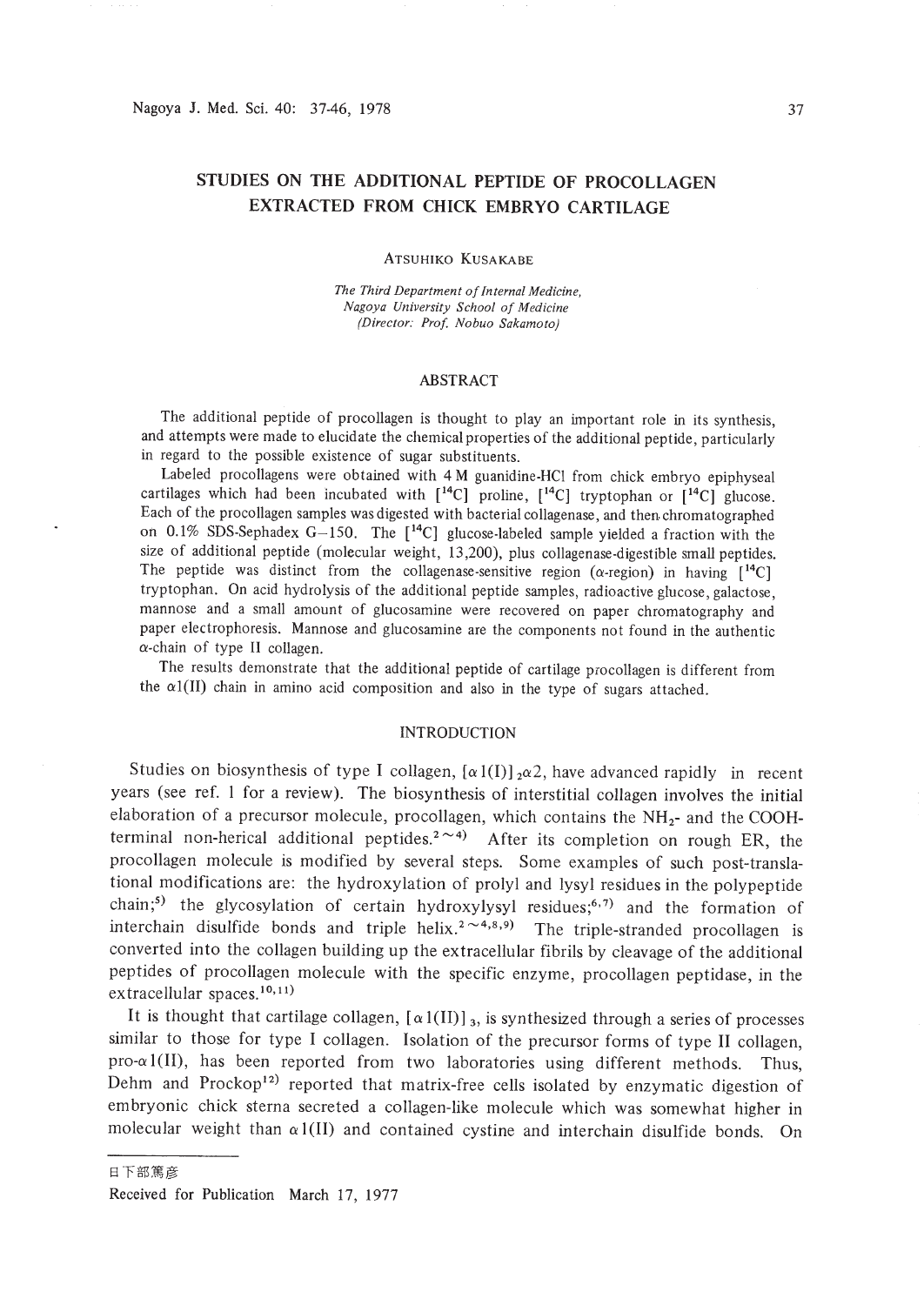# **STUDIES ON THE ADDITIONAL PEPTIDE OF PROCOLLAGEN EXTRACTED FROM CHICK EMBRYO CARTILAGE**

#### ATSUHIKO KUSAKABE

*The Third Department ofInternal Medicine, Nagoya University School of Medicine (Director: Prof. Nobuo Sakamoto)*

# ABSTRACT

The additional peptide of procollagen is thought to play an important role in its synthesis, and attempts were made to elucidate the chemical properties of the additional peptide, particularly in regard to the possible existence of sugar substituents.

Labeled procollagens were obtained with 4 M guanidine.HCl from chick embryo epiphyseal cartilages which had been incubated with  $[14C]$  proline,  $[14C]$  tryptophan or  $[14C]$  glucose. Each of the procollagen samples was digested with bacterial collagenase, and then chromatographed on 0.1% SDS-Sephadex  $G-150$ . The  $[$ <sup>14</sup>C] glucose-labeled sample yielded a fraction with the size of additional peptide (molecular weight, 13,200), plus collagenase-digestible small peptides. The peptide was distinct from the collagenase-sensitive region ( $\alpha$ -region) in having  $[14C]$ tryptophan. On acid hydrolysis of the additional peptide samples, radioactive glucose, galactose, mannose and a small amount of glucosamine were recovered on paper chromatography and paper electrophoresis. Mannose and glucosamine are the components not found in the authentic  $\alpha$ -chain of type II collagen.

The results demonstrate that the additional peptide of cartilage procollagen is different from the  $\alpha$ 1(II) chain in amino acid composition and also in the type of sugars attached.

### INTRODUCTION

Studies on biosynthesis of type I collagen,  $[\alpha 1(I)]_2 \alpha 2$ , have advanced rapidly in recent years (see ref. I for a review). The biosynthesis of interstitial collagen involves the initial elaboration of a precursor molecule, procollagen, which contains the  $NH<sub>2</sub>$ - and the COOHterminal non-herical additional peptides.<sup>2 $\sim$ 4</sup>) After its completion on rough ER, the procollagen molecule is modified by several steps. Some examples of such post-translational modifications are: the hydroxylation of prolyl and lysyl residues in the polypeptide chain;<sup>5)</sup> the glycosylation of certain hydroxylysyl residues;<sup>6,7)</sup> and the formation of interchain disulfide bonds and triple helix.<sup>2</sup> $\sim$ 4,8,9) The triple-stranded procollagen is converted into the collagen building up the extracellular fibrils by cleavage of the additional peptides of procollagen molecule with the specific enzyme, procollagen peptidase, in the extracellular spaces.<sup>10,11</sup>)

It is thought that cartilage collagen,  $\lceil \alpha \cdot 1(II) \rceil_3$ , is synthesized through a series of processes similar to those for type I collagen. Isolation of the precursor forms of type II collagen, pro- $\alpha$ 1(II), has been reported from two laboratories using different methods. Thus, Dehm and Prockop<sup>12)</sup> reported that matrix-free cells isolated by enzymatic digestion of embryonic chick sterna secreted a collagen-like molecule which was somewhat higher in molecular weight than  $\alpha$ 1(II) and contained cystine and interchain disulfide bonds. On

日下部篤彦

Received for Publication March 17, 1977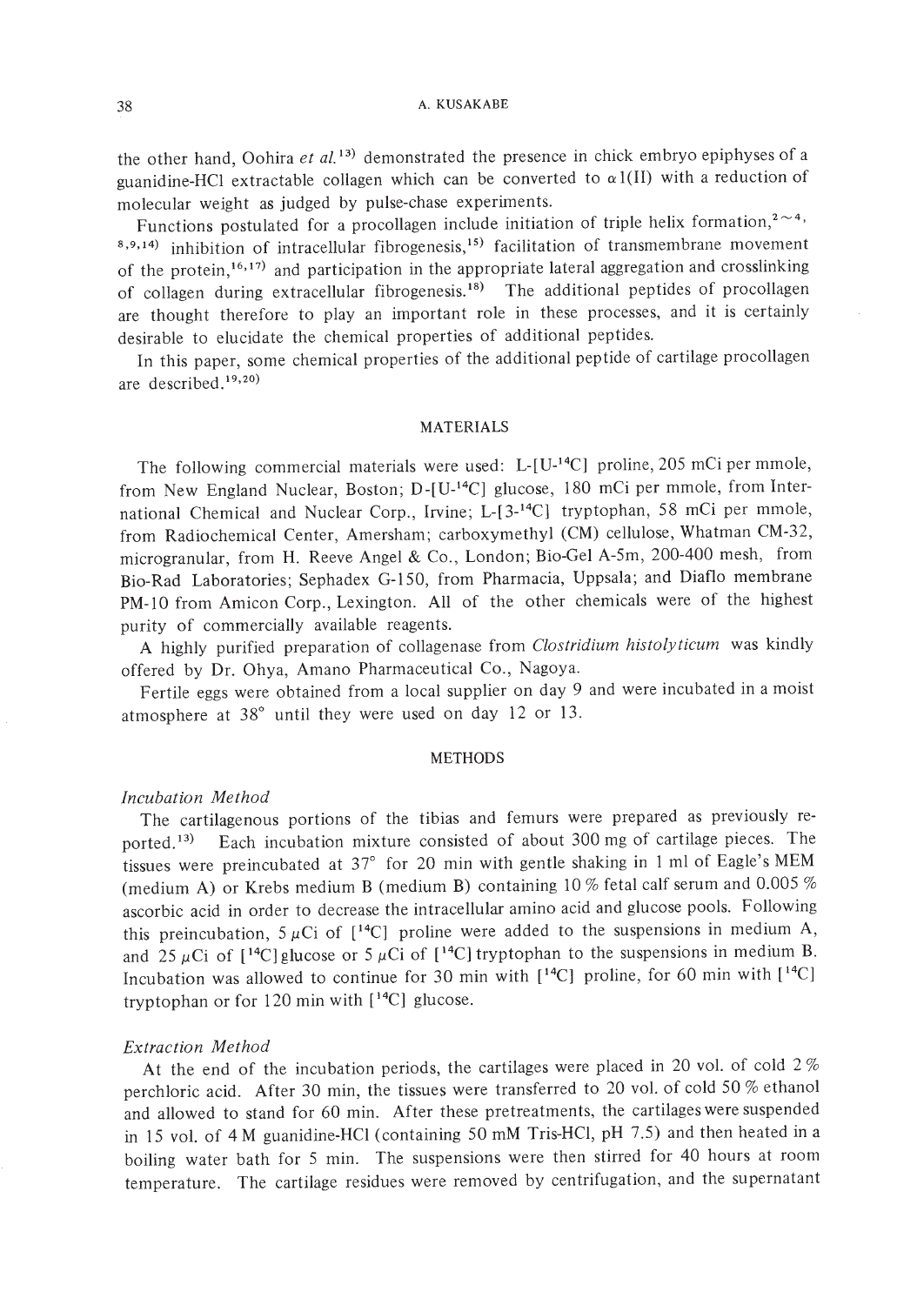the other hand, Oohira *et at.* 13) demonstrated the presence in chick embryo epiphyses of a guanidine-HCl extractable collagen which can be converted to  $\alpha$ 1(II) with a reduction of molecular weight as judged by pulse-chase experiments.

Functions postulated for a procollagen include initiation of triple helix formation,<sup>2 $\sim$ 4</sup>.  $8,9,14)$  inhibition of intracellular fibrogenesis,<sup>15)</sup> facilitation of transmembrane movement of the protein,<sup>16,17)</sup> and participation in the appropriate lateral aggregation and crosslinking of collagen during extracellular fibrogenesis. 18) The additional peptides of procollagen are thought therefore to play an important role in these processes, and it is certainly desirable to elucidate the chemical properties of additional peptides.

In this paper, some chemical properties of the additional peptide of cartilage procollagen are described. 19,20)

### MATERIALS

The following commercial materials were used: L-[U-14C) proline, 205 mCi per mmole, from New England Nuclear, Boston; D-[U-<sup>14</sup>C] glucose, 180 mCi per mmole, from International Chemical and Nuclear Corp., Irvine; L-[3-14C) tryptophan, 58 mCi per mmole, from Radiochemical Center, Amersham; carboxymethyl (CM) cellulose, Whatman CM-32, microgranular, from H. Reeve Angel & Co., London; Bio-Gel A-5m, 200-400 mesh, from Bio-Rad Laboratories; Sephadex G-150, from Pharmacia, Uppsala; and Diaflo membrane PM-IO from Amicon Corp., Lexington. All of the other chemicals were of the highest purity of commercially available reagents.

A highly purified preparation of collagenase from *Clostridium histolyticum* was kindly offered by Dr. Ohya, Amano Pharmaceutical Co., Nagoya.

Fertile eggs were obtained from a local supplier on day 9 and were incubated in a moist atmosphere at  $38^{\circ}$  until they were used on day 12 or 13.

### METHODS

# *Incubation Method*

The cartilagenous portions of the tibias and femurs were prepared as previously reported. 13) Each incubation mixture consisted of about 300 mg of cartilage pieces. The tissues were preincubated at  $37^{\circ}$  for 20 min with gentle shaking in 1 ml of Eagle's MEM (medium A) or Krebs medium B (medium B) containing 10% fetal calf serum and 0.005% ascorbic acid in order to decrease the intracellular amino acid and glucose pools. Following this preincubation,  $5 \mu Ci$  of  $[14C]$  proline were added to the suspensions in medium A, and 25  $\mu$ Ci of [<sup>14</sup>C] glucose or 5  $\mu$ Ci of [<sup>14</sup>C] tryptophan to the suspensions in medium B. Incubation was allowed to continue for 30 min with  $[$ <sup>14</sup>C] proline, for 60 min with  $[$ <sup>14</sup>C] tryptophan or for 120 min with  $[14C]$  glucose.

### *Extraction Method*

At the end of the incubation periods, the cartilages were placed in 20 vol. of cold  $2\%$ perchloric acid. After 30 min, the tissues were transferred to 20 vol. of cold 50 % ethanol and allowed to stand for 60 min. After these pretreatments, the cartilages were suspended in 15 vol. of 4 M guanidine-HCI (containing 50 mM Tris-HCI, pH 7.5) and then heated in a boiling water bath for 5 min. The suspensions were then stirred for 40 hours at room temperature. The cartilage residues were removed by centrifugation, and the supernatant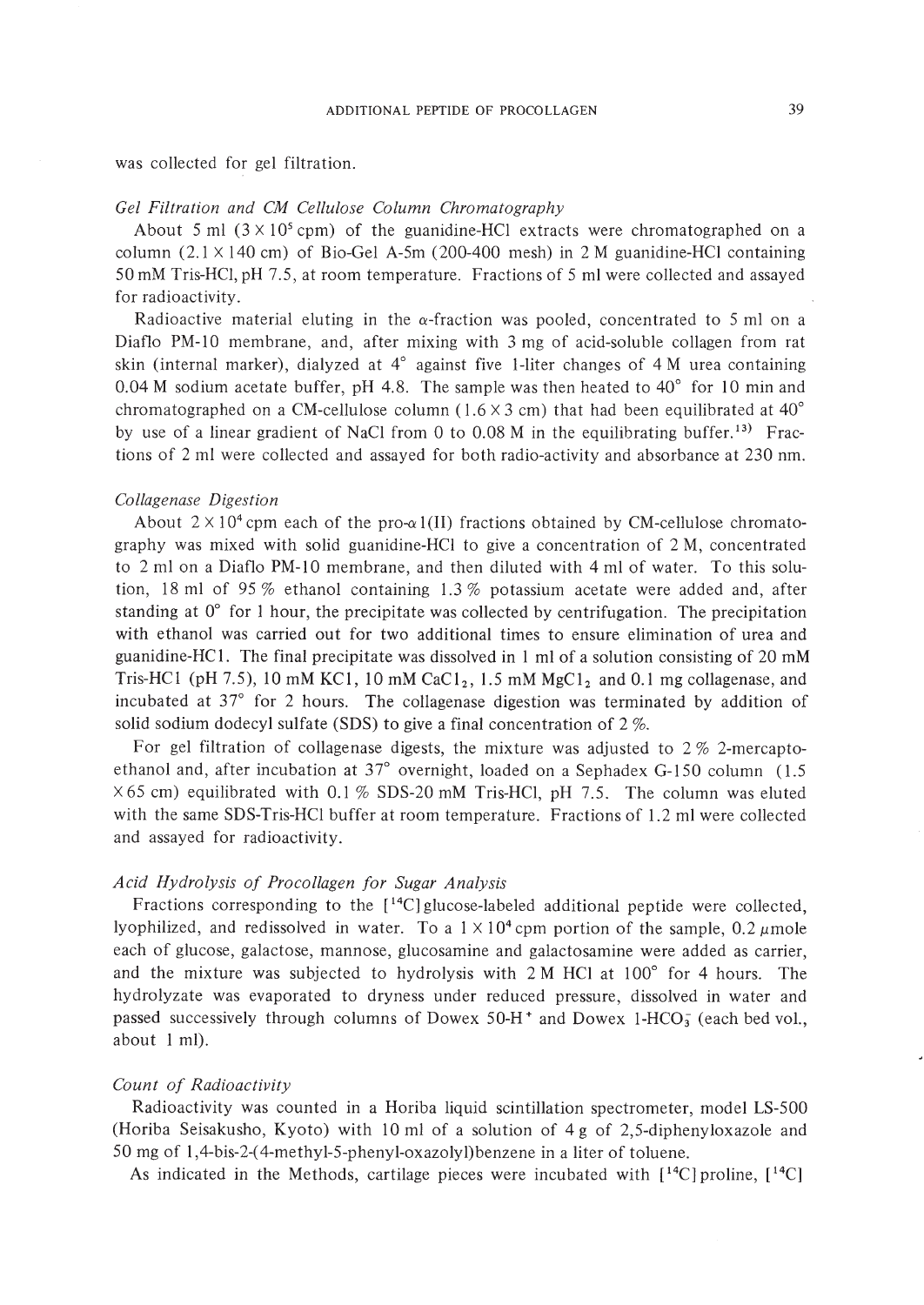was collected for gel filtration.

### *Gel Filtration and CM Cellulose Column Chromatography*

About 5 ml  $(3 \times 10^5 \text{ cpm})$  of the guanidine-HCl extracts were chromatographed on a column  $(2.1 \times 140 \text{ cm})$  of Bio-Gel A-5m  $(200-400 \text{ mesh})$  in 2 M guanidine-HCl containing 50 mM Tris-HCI, pH 7.5, at room temperature. Fractions of 5 ml were collected and assayed for radioactivity.

Radioactive material eluting in the  $\alpha$ -fraction was pooled, concentrated to 5 ml on a Diaflo PM-IO membrane, and, after mixing with 3 mg of acid-soluble collagen from rat skin (internal marker), dialyzed at 4° against five I-liter changes of 4 M urea containing 0.04 M sodium acetate buffer, pH 4.8. The sample was then heated to  $40^{\circ}$  for 10 min and chromatographed on a CM-cellulose column (1.6  $\times$  3 cm) that had been equilibrated at 40° by use of a linear gradient of NaCl from 0 to  $0.08$  M in the equilibrating buffer.<sup>13)</sup> Fractions of 2 ml were collected and assayed for both radio-activity and absorbance at 230 nm.

### *Collagenase Digestion*

About  $2 \times 10^4$  cpm each of the pro- $\alpha$ 1(II) fractions obtained by CM-cellulose chromatography was mixed with solid guanidine-HCI to give a concentration of 2 M, concentrated to 2 ml on a Diaflo PM-10 membrane, and then diluted with 4 ml of water. To this solution, 18 ml of 95 % ethanol containing 1.3 % potassium acetate were added and, after standing at  $0^{\circ}$  for 1 hour, the precipitate was collected by centrifugation. The precipitation with ethanol was carried out for two additional times to ensure elimination of urea and guanidine-HC I. The final precipitate was dissolved in I ml of a solution consisting of 20 mM Tris-HC1 (pH 7.5), 10 mM KC1, 10 mM CaC1<sub>2</sub>, 1.5 mM MgC1<sub>2</sub> and 0.1 mg collagenase, and incubated at 37° for 2 hours. The collagenase digestion was terminated by addition of solid sodium dodecyl sulfate (SDS) to give a final concentration of 2 %.

For gel filtration of collagenase digests, the mixture was adjusted to  $2\%$  2-mercaptoethanol and, after incubation at 37° overnight, loaded on a Sephadex G-150 column (1.5  $\times$  65 cm) equilibrated with 0.1 % SDS-20 mM Tris-HCl, pH 7.5. The column was eluted with the same SDS-Tris-HCI buffer at room temperature. Fractions of 1.2 ml were collected and assayed for radioactivity.

# *Acid Hydrolysis of Procollagen for Sugar Analysis*

Fractions corresponding to the  $[14C]$  glucose-labeled additional peptide were collected, lyophilized, and redissolved in water. To a  $1 \times 10^4$  cpm portion of the sample, 0.2  $\mu$ mole each of glucose, galactose, mannose, glucosamine and galactosamine were added as carrier, and the mixture was subjected to hydrolysis with 2 M HCI at 100° for 4 hours. The hydrolyzate was evaporated to dryness under reduced pressure, dissolved in water and passed successively through columns of Dowex 50-H<sup>+</sup> and Dowex 1-HCO<sub>3</sub> (each bed vol., about I mI).

# *Count of Radioactivity*

Radioactivity was counted in a Horiba liquid scintillation spectrometer, model LS-500 (Horiba Seisakusho, Kyoto) with 10 ml of a solution of 4 g of 2,5-diphenyloxazole and 50 mg of I,4-bis-2-( 4-methyl-5-phenyl-oxazolyl)benzene in a liter of toluene.

As indicated in the Methods, cartilage pieces were incubated with  $[14C]$  proline,  $[14C]$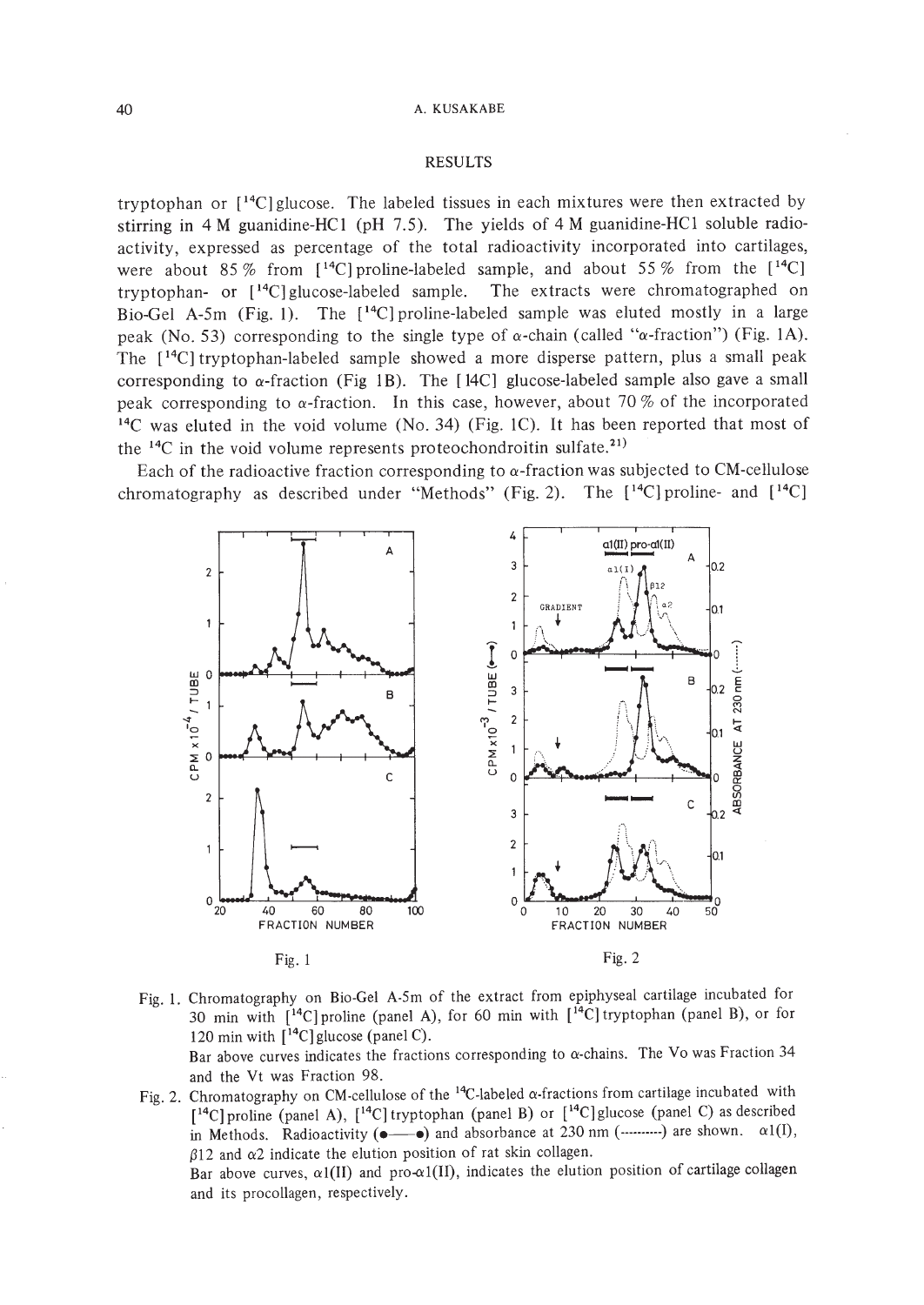# RESULTS

tryptophan or  $[14C]$  glucose. The labeled tissues in each mixtures were then extracted by stirring in 4 M guanidine-HCI (pH 7.5). The yields of 4 M guanidine-HCI soluble radioactivity, expressed as percentage of the total radioactivity incorporated into cartilages, were about 85 % from  $[14C]$  proline-labeled sample, and about 55 % from the  $[14C]$ tryptophan- or [14C] glucose-labeled sample. The extracts were chromatographed on Bio-Gel A-5m (Fig. 1). The [ 14C] proline-labeled sample was eluted mostly in a large peak (No. 53) corresponding to the single type of  $\alpha$ -chain (called " $\alpha$ -fraction") (Fig. 1A). The [ 14C] tryptophan-labeled sample showed a more disperse pattern, plus a small peak corresponding to  $\alpha$ -fraction (Fig 1B). The [14C] glucose-labeled sample also gave a small peak corresponding to  $\alpha$ -fraction. In this case, however, about 70 % of the incorporated <sup>14</sup>C was eluted in the void volume (No. 34) (Fig. 1C). It has been reported that most of the  $14C$  in the void volume represents proteochondroitin sulfate.<sup>21)</sup>

Each of the radioactive fraction corresponding to  $\alpha$ -fraction was subjected to CM-cellulose chromatography as described under "Methods" (Fig. 2). The  $[$ <sup>14</sup>C] proline- and  $[$ <sup>14</sup>C]



- Fig. 1. Chromatography on Bio-Gel A-Sm of the extract from epiphyseal cartilage incubated for 30 min with  $\lceil$ <sup>14</sup>C | proline (panel A), for 60 min with  $\lceil$ <sup>14</sup>C | tryptophan (panel B), or for 120 min with  $[$ <sup>14</sup>C] glucose (panel C). Bar above curves indicates the fractions corresponding to  $\alpha$ -chains. The Vo was Fraction 34 and the Vt was Fraction 98.
- Fig. 2. Chromatography on CM-cellulose of the <sup>14</sup>C-labeled  $\alpha$ -fractions from cartilage incubated with [<sup>14</sup>C] proline (panel A), [<sup>14</sup>C] tryptophan (panel B) or [<sup>14</sup>C] glucose (panel C) as described in Methods. Radioactivity  $(\bullet \longrightarrow)$  and absorbance at 230 nm  $(\dots \dots \dots)$  are shown.  $\alpha 1(1)$ ,  $\beta$ 12 and  $\alpha$ 2 indicate the elution position of rat skin collagen.

Bar above curves,  $\alpha I(II)$  and pro- $\alpha I(II)$ , indicates the elution position of cartilage collagen and its procollagen, respectively.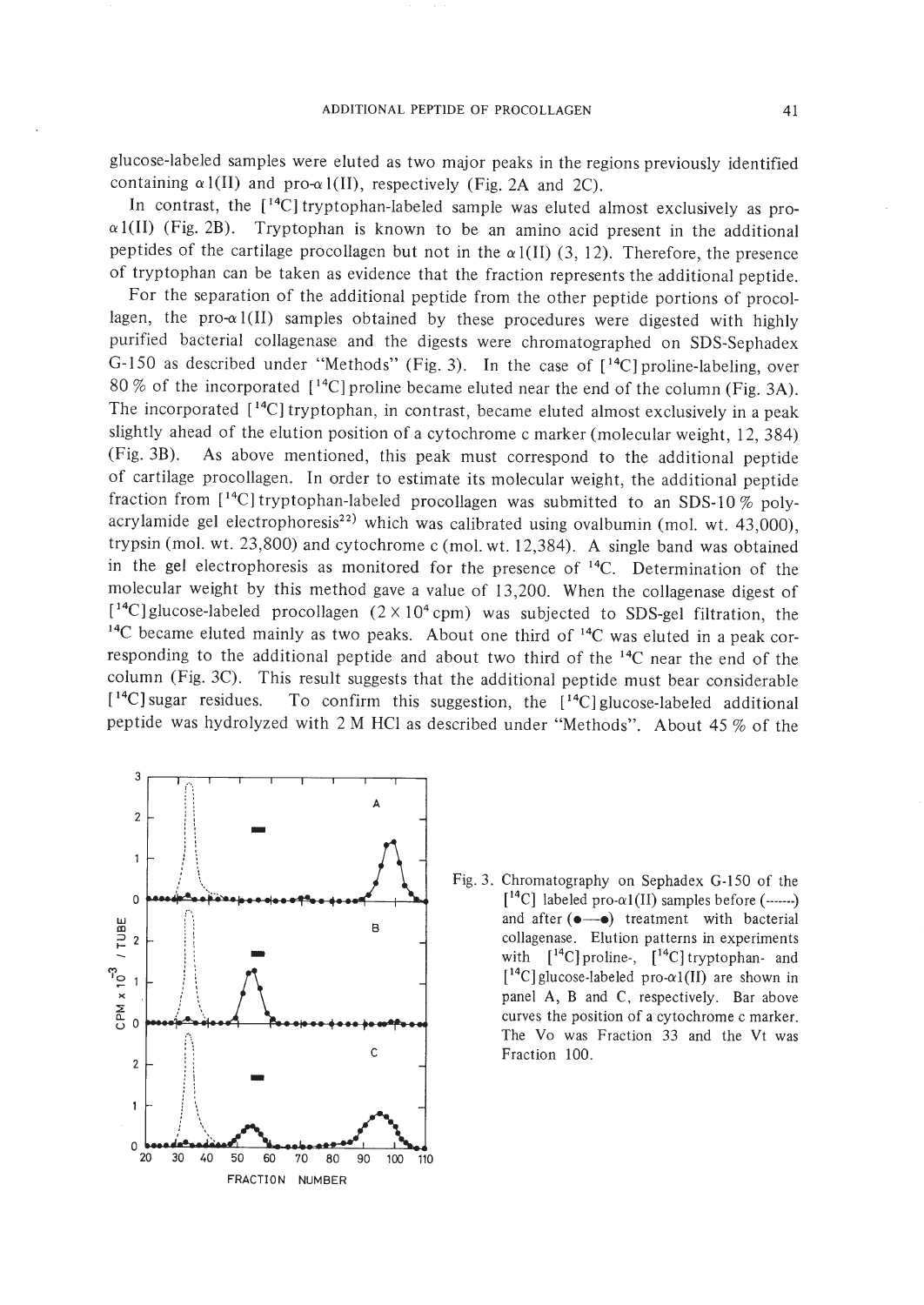glucose-labeled samples were eluted as two major peaks in the regions previously identified containing  $\alpha$  l(II) and pro- $\alpha$  l(II), respectively (Fig. 2A and 2C).

In contrast, the [14C] tryptophan-labeled sample was eluted almost exclusively as pro- $\alpha$ 1(II) (Fig. 2B). Tryptophan is known to be an amino acid present in the additional peptides of the cartilage procollagen but not in the  $\alpha$ 1(II) (3, 12). Therefore, the presence of tryptophan can be taken as evidence that the fraction represents the additional peptide.

For the separation of the additional peptide from the other peptide portions of procollagen, the pro- $\alpha$ 1(II) samples obtained by these procedures were digested with highly purified bacterial collagenase and the digests were chromatographed on SDS-Sephadex G-150 as described under "Methods" (Fig. 3). In the case of [14C] proline-labeling, over 80 % of the incorporated  $[$ <sup>14</sup>C] proline became eluted near the end of the column (Fig. 3A). The incorporated  $[14C]$  tryptophan, in contrast, became eluted almost exclusively in a peak slightly ahead of the elution position of a cytochrome c marker (molecular weight, 12, 384) (Fig. 3B). As above mentioned, this peak must correspond to the additional peptide of cartilage procollagen. In order to estimate its molecular weight, the additional peptide fraction from  $[$ <sup>14</sup>C] tryptophan-labeled procollagen was submitted to an SDS-10 % polyacrylamide gel electrophoresis<sup>22)</sup> which was calibrated using ovalbumin (mol. wt. 43,000), trypsin (mol. wt. 23,800) and cytochrome c (mol. wt. 12,384). A single band was obtained in the gel electrophoresis as monitored for the presence of 14C. Determination of the molecular weight by this method gave a value of 13,200. When the collagenase digest of  $[$ <sup>14</sup>C] glucose-labeled procollagen (2 × 10<sup>4</sup> cpm) was subjected to SDS-gel filtration, the  $14C$  became eluted mainly as two peaks. About one third of  $14C$  was eluted in a peak corresponding to the additional peptide and about two third of the 14C near the end of the column (Fig. 3C). This result suggests that the additional peptide must bear considerable  $[$ <sup>14</sup>C] sugar residues. To confirm this suggestion, the  $[$ <sup>14</sup>C] glucose-labeled additional peptide was hydrolyzed with 2 M HCI as described under "Methods". About 45 % of the



Fig. 3. Chromatography on Sephadex G-150 of the  $[14^{\circ}\text{C}]$  labeled pro- $\alpha1(II)$  samples before (------) and after  $(\bullet \rightarrow \bullet)$  treatment with bacterial collagenase. Elution patterns in experiments with  $[14C]$  proline-,  $[14C]$  tryptophan- and  $[14C]$  glucose-labeled pro- $\alpha1(II)$  are shown in panel A, B and C, respectively. Bar above curves the position of a cytochrome c marker. The Vo was Fraction 33 and the Vt was Fraction 100.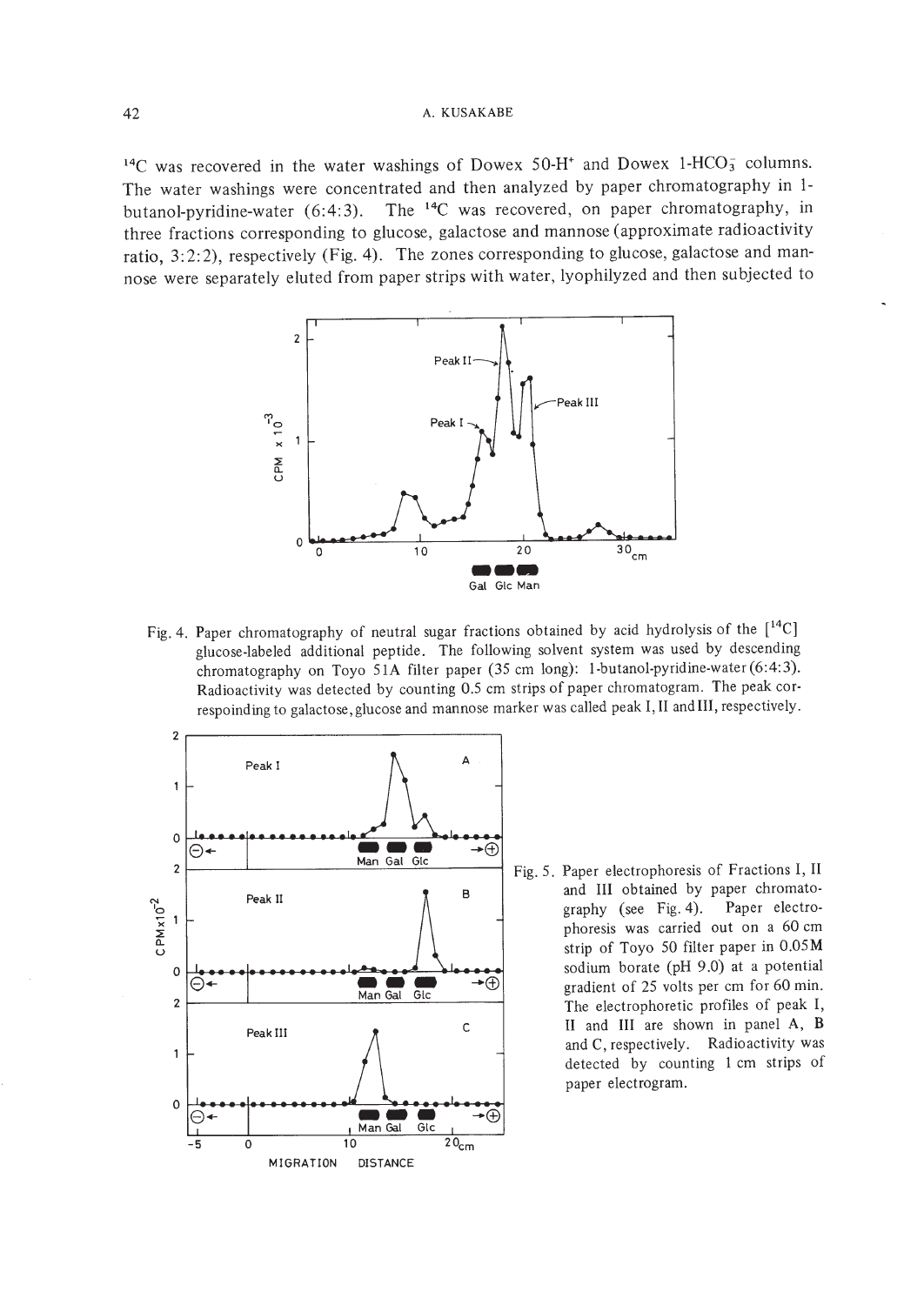$14C$  was recovered in the water washings of Dowex 50-H<sup>+</sup> and Dowex 1-HCO<sub>3</sub> columns. The water washings were concentrated and then analyzed by paper chromatography in 1 butanol-pyridine-water (6:4:3). The  $^{14}C$  was recovered, on paper chromatography, in three fractions corresponding to glucose, galactose and mannose (approximate radioactivity ratio, 3:2:2), respectively (Fig. 4). The zones corresponding to glucose, galactose and mannose were separately eluted from paper strips with water, Iyophilyzed and then subjected to



Fig. 4. Paper chromatography of neutral sugar fractions obtained by acid hydrolysis of the [<sup>14</sup>C] glucose-labeled additional peptide. The following solvent system was used by descending chromatography on Toyo 5lA filter paper (35 cm long): l-butanol-pyridine-water (6:4:3). Radioactivity was detected by counting 0.5 cm strips of paper chromatogram. The peak cor-



phoresis was carried out on a 60 cm strip of Toyo 50 filter paper in 0.05M Peak III  $\qquad \qquad \qquad \qquad$  C  $\qquad \qquad$  II and III are shown in panel A, B and C, respectively. Radioactivity was detected by counting lcm strips of paper electrogram.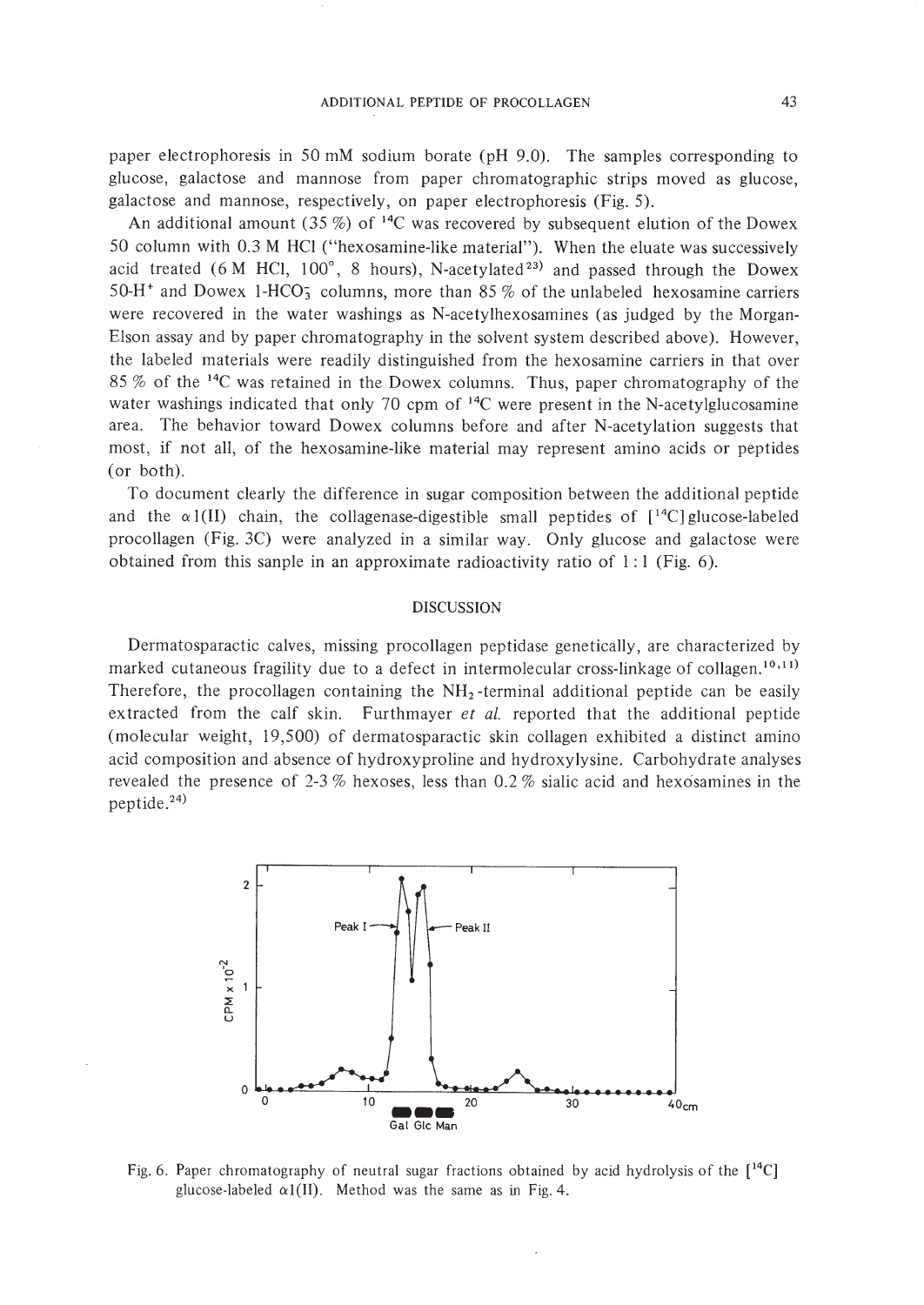paper electrophoresis in 50 mM sodium borate (pH 9.0). The samples corresponding to glucose, galactose and mannose from paper chromatographic strips moved as glucose, galactose and mannose, respectively, on paper electrophoresis (Fig. 5).

An additional amount (35 %) of  $^{14}C$  was recovered by subsequent elution of the Dowex 50 column with 0.3 M HCI ("hexosamine-like material"). When the eluate was successively acid treated (6 M HCl,  $100^\circ$ , 8 hours), N-acetylated<sup>23</sup> and passed through the Dowex 50-H<sup>+</sup> and Dowex 1-HCO<sub>3</sub> columns, more than 85 % of the unlabeled hexosamine carriers were recovered in the water washings as N-acetylhexosamines (as judged by the Morgan-Elson assay and by paper chromatography in the solvent system described above). However, the labeled materials were readily distinguished from the hexosamine carriers in that over 85 % of the 14C was retained in the Dowex columns. Thus, paper chromatography of the water washings indicated that only 70 cpm of  $14C$  were present in the N-acetylglucosamine area. The behavior toward Dowex columns before and after N-acetylation suggests that most, if not all, of the hexosamine-like material may represent amino acids or peptides (or both).

To document clearly the difference in sugar composition between the additional peptide and the  $\alpha$ 1(II) chain, the collagenase-digestible small peptides of  $[^{14}C]$  glucose-labeled procollagen (Fig.3C) were analyzed in a similar way. Only glucose and galactose were obtained from this sanple in an approximate radioactivity ratio of  $1:1$  (Fig. 6).

# DISCUSSION

Dermatosparactic calves, missing procollagen peptidase genetically, are characterized by marked cutaneous fragility due to a defect in intermolecular cross-linkage of collagen.<sup>10,11</sup> Therefore, the procollagen containing the  $NH<sub>2</sub>$ -terminal additional peptide can be easily ex tracted from the calf skin. Furthmayer *et al.* reported that the additional peptide (molecular weight, 19,500) of dermatosparactic skin collagen exhibited a distinct amino acid composition and absence of hydroxyproline and hydroxy lysine. Carbohydrate analyses revealed the presence of 2-3 % hexoses, less than 0.2 % sialic acid and hexosamines in the peptide. 24)



Fig. 6. Paper chromatography of neutral sugar fractions obtained by acid hydrolysis of the  $[14C]$ glucose-labeled  $\alpha$ 1(II). Method was the same as in Fig. 4.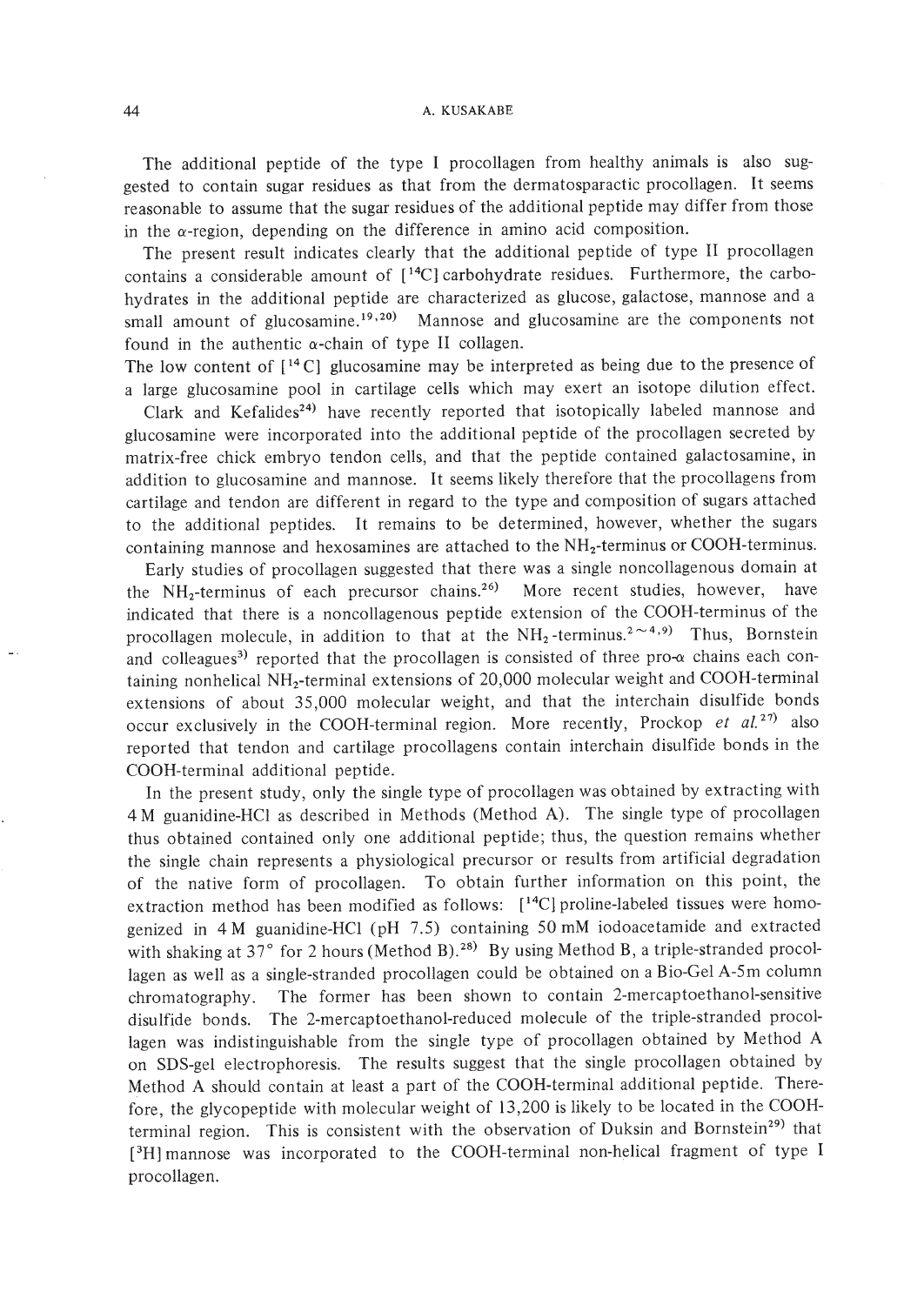The additional peptide of the type I procollagen from healthy animals is also suggested to contain sugar residues as that from the dermatosparactic procollagen. It seems reasonable to assume that the sugar residues of the additional peptide may differ from those in the a-region, depending on the difference in amino acid composition.

The present result indicates clearly that the additional peptide of type II procollagen contains a considerable amount of  $[14C]$  carbohydrate residues. Furthermore, the carbohydrates in the additional peptide are characterized as glucose, galactose, mannose and a small amount of glucosamine.<sup>19,20</sup> Mannose and glucosamine are the components not found in the authentic  $\alpha$ -chain of type II collagen.

The low content of  $[14 \text{ C}]$  glucosamine may be interpreted as being due to the presence of a large glucosamine pool in cartilage cells which may exert an isotope dilution effect.

Clark and Kefalides<sup>24)</sup> have recently reported that isotopically labeled mannose and glucosamine were incorporated into the additional peptide of the procollagen secreted by matrix-free chick embryo tendon cells, and that the peptide contained galactosamine, in addition to glucosamine and mannose. It seems likely therefore that the procollagens from cartilage and tendon are different in regard to the type and composition of sugars attached to the additional peptides. It remains to be determined, however, whether the sugars containing mannose and hexosamines are attached to the  $NH_2$ -terminus or COOH-terminus.

Early studies of procollagen suggested that there was a single noncollagenous domain at the  $NH<sub>2</sub>$ -terminus of each precursor chains.<sup>26)</sup> More recent studies, however, have indicated that there is a noncollagenous peptide extension of the COOH-terminus of the procollagen molecule, in addition to that at the  $NH_2$ -terminus.<sup>2 $\sim$ 4,9)</sup> Thus, Bornstein and colleagues<sup>3)</sup> reported that the procollagen is consisted of three pro- $\alpha$  chains each containing nonhelical  $NH<sub>2</sub>$ -terminal extensions of 20,000 molecular weight and COOH-terminal extensions of about 35,000 molecular weight, and that the interchain disulfide bonds occur exclusively in the COOH-terminal region. More recently, Prockop *et ai. 27)* also reported that tendon and cartilage procollagens contain interchain disulfide bonds in the COOH-terminal additional peptide.

**In** the present study, only the single type of procollagen was obtained by extracting with 4 M guanidine-HCl as described in Methods (Method A). The single type of procollagen thus obtained contained only one additional peptide; thus, the question remains whether the single chain represents a physiological precursor or results from artificial degradation of the native form of procollagen. To obtain further information on this point, the extraction method has been modified as follows: [<sup>14</sup>C] proline-labeled tissues were homogenized in 4 M guanidine-HCl (pH 7.5) containing 50 mM iodoacetamide and extracted with shaking at 37° for 2 hours (Method B).<sup>28)</sup> By using Method B, a triple-stranded procollagen as well as a single-stranded procollagen could be obtained on a Bio-Gel A-5m column chromatography. The former has been shown to contain 2-mercaptoethanol-sensitive disulfide bonds. The 2-mercaptoethanol-reduced molecule of the triple-stranded procollagen was indistinguishable from the single type of procollagen obtained by Method A on SDS-gel electrophoresis. The results suggest that the single procollagen obtained by Method A should contain at least a part of the COOH-terminal additional peptide. Therefore, the glycopeptide with molecular weight of 13,200 is likely to be located in the COOHterminal region. This is consistent with the observation of Duksin and Bornstein<sup>29)</sup> that [<sup>3</sup>H] mannose was incorporated to the COOH-terminal non-helical fragment of type I procollagen.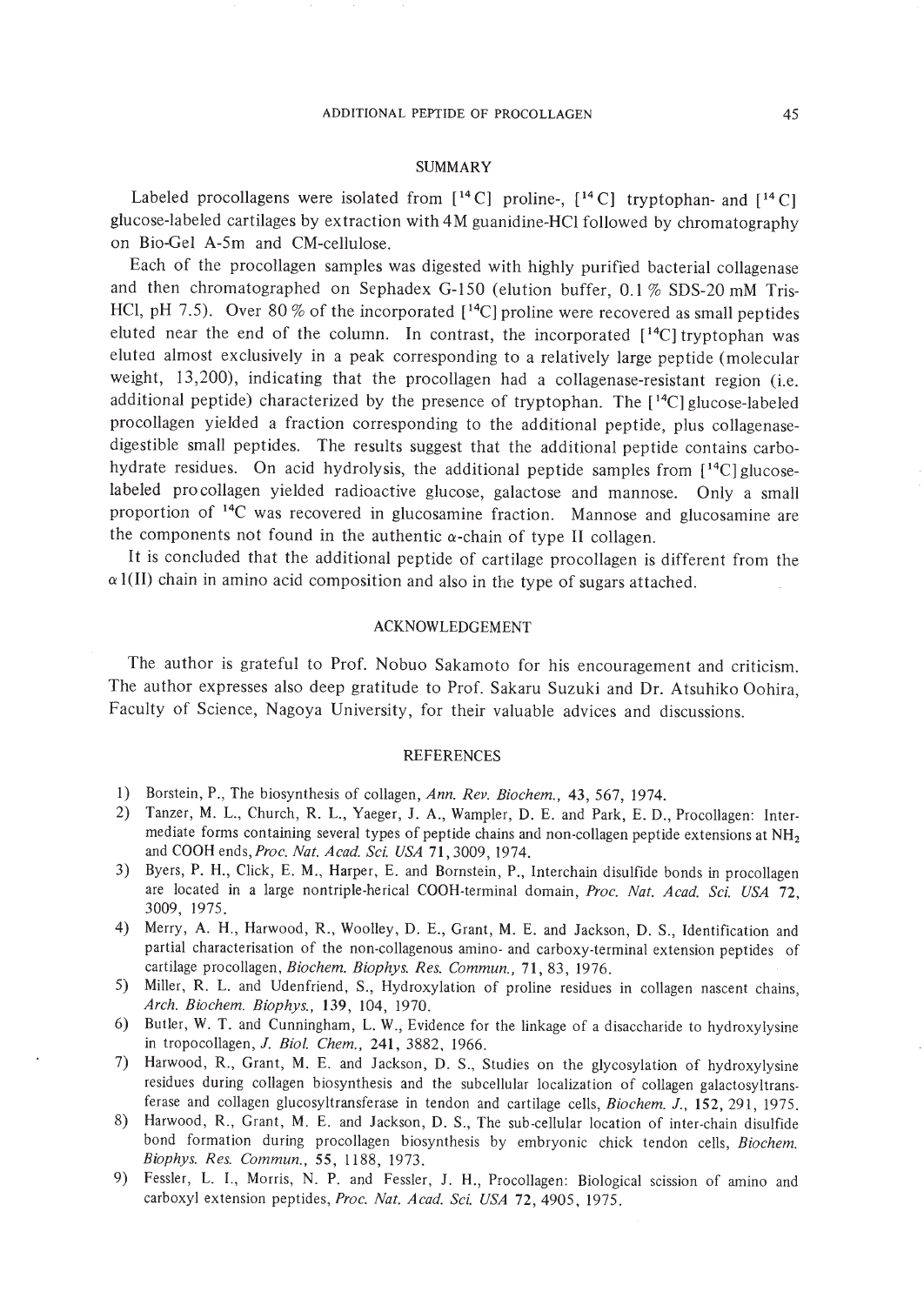### SUMMARY

Labeled procollagens were isolated from  $[$ <sup>14</sup> C] proline-,  $[$ <sup>14</sup> C] tryptophan- and  $[$ <sup>14</sup> C] glucose-labeled cartilages by extraction with 4M guanidine-HCl followed by chromatography on Bio-Gel A-Sm and CM-cellulose.

Each of the procollagen samples was digested with highly purified bacterial collagenase and then chromatographed on Sephadex G-ISO (elution buffer, 0.1 % SDS-20 mM Tris-HCl, pH 7.5). Over 80 % of the incorporated  $[$ <sup>14</sup>C] proline were recovered as small peptides eluted near the end of the column. In contrast, the incorporated  $[$ <sup>14</sup>C] tryptophan was eluted almost exclusively in a peak corresponding to a relatively large peptide (molecular weight, 13,200), indicating that the procollagen had a collagenase-resistant region (i.e. additional peptide) characterized by the presence of tryptophan. The [ 14C] glucose-labeled pro collagen yielded a fraction corresponding to the additional peptide, plus collagenasedigestible small peptides. The results suggest that the additional peptide contains carbohydrate residues. On acid hydrolysis, the additional peptide samples from [<sup>14</sup>C] glucoselabeled pro collagen yielded radioactive glucose, galactose and mannose. Only a small proportion of 14C was recovered in glucosamine fraction. Mannose and glucosamine are the components not found in the authentic  $\alpha$ -chain of type II collagen.

It is concluded that the additional peptide of cartilage procollagen is different from the  $\alpha$ 1(II) chain in amino acid composition and also in the type of sugars attached.

# ACKNOWLEDGEMENT

The author is grateful to Prof. Nobuo Sakamoto for his encouragement and criticism. The author expresses also deep gratitude to Prof. Sakaru Suzuki and Dr. Atsuhiko Oohira, Faculty of Science, Nagoya University, for their valuable advices and discussions.

#### REFERENCES

- 1) Borstein, P., The biosynthesis of collagen, *Ann. Rev. Biochem.,* 43,567, 1974.
- 2) Tanzer, M. L., Church, R. L., Yaeger, 1. A., Wampler, D. E. and Park, E. D., Procollagen: Intermediate forms containing several types of peptide chains and non-collagen peptide extensions at  $NH<sub>2</sub>$ and COOH *ends,Proc. Nat. Acad. Sci. USA* 71,3009, 1974.
- 3) Byers, P. H., Click, E. M., Harper, E. and Bornstein, P., Interchain disulfide bonds in procollagen are located in a large nontriple-herical COOH-terminal domain, *Proc. Nat. Acad. Sci. USA 72,* 3009, 1975.
- 4) Merry, A. H., Harwood, R., Woolley, D. E., Grant, M. E. and Jackson, D. S., Identification and partial characterisation of the non-collagenous amino- and carboxy-terminal extension peptides of cartilage procollagen, *Biochem. Biophys. Res. Commun.,* 71,83, 1976.
- 5) Miller, R. L. and Udenfriend, S., Hydroxylation of proline residues in collagen nascent chains, *Arch. Biochem. Biophys.,* 139, 104, 1970.
- 6) Butler, W. T. and Cunningham, L. W., Evidence for the linkage of a disaccharide to hydroxyiysine in tropocollagen, J. *BioI. Chem.,* 241,3882, 1966.
- 7) Harwood, R., Grant, M. E. and Jackson, D. S., Studies on the glycosylation of hydroxylysine residues during collagen biosynthesis and the subcellular localization of collagen galactosyltransferase and collagen glucosyltransferase in tendon and cartilage cells, *Biochem.* J., 152,291, 1975.
- 8) Harwood, R., Grant, M. E. and Jackson, D. S., The sub-cellular location of inter-chain disulfide bond formation during procollagen biosynthesis by embryonic chick tendon cells, *Biochem. Biophys. Res. Commun.,* 55, 1188, 1973.
- 9) Fessler, L. I., Morris, N. P. and Fessler, J. H., Procollagen: Biological scission of amino and carboxyl extension peptides, *Proc. Nat. Acad. Sci. USA* 72,4905, 1975.